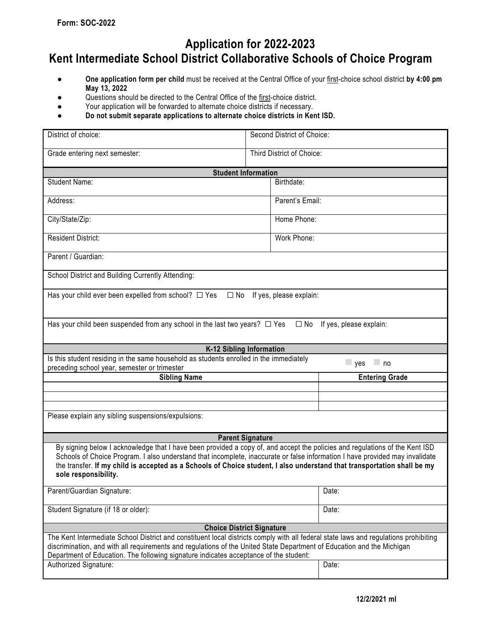## **Application for 2022-2023 Kent Intermediate School District Collaborative Schools of Choice Program**

- **One application form per child** must be received at the Central Office of your first-choice school district **by 4:00 pm May 13, 2022**
- Questions should be directed to the Central Office of the first-choice district.
- Your application will be forwarded to alternate choice districts if necessary.
- **Do not submit separate applications to alternate choice districts in Kent ISD.**

| District of choice:                                                                                                                                                                                                                                                                                                                                                                                            | Second District of Choice:                                                                  |                         |  |
|----------------------------------------------------------------------------------------------------------------------------------------------------------------------------------------------------------------------------------------------------------------------------------------------------------------------------------------------------------------------------------------------------------------|---------------------------------------------------------------------------------------------|-------------------------|--|
| Grade entering next semester:                                                                                                                                                                                                                                                                                                                                                                                  | Third District of Choice:                                                                   |                         |  |
| <b>Student Information</b>                                                                                                                                                                                                                                                                                                                                                                                     |                                                                                             |                         |  |
| <b>Student Name:</b>                                                                                                                                                                                                                                                                                                                                                                                           | Birthdate:                                                                                  |                         |  |
| Address:                                                                                                                                                                                                                                                                                                                                                                                                       | Parent's Email:                                                                             |                         |  |
| City/State/Zip:                                                                                                                                                                                                                                                                                                                                                                                                | Home Phone:                                                                                 |                         |  |
| <b>Resident District:</b>                                                                                                                                                                                                                                                                                                                                                                                      | Work Phone:                                                                                 |                         |  |
| Parent / Guardian:                                                                                                                                                                                                                                                                                                                                                                                             |                                                                                             |                         |  |
| School District and Building Currently Attending:                                                                                                                                                                                                                                                                                                                                                              |                                                                                             |                         |  |
|                                                                                                                                                                                                                                                                                                                                                                                                                | Has your child ever been expelled from school? $\Box$ Yes $\Box$ No If yes, please explain: |                         |  |
| Has your child been suspended from any school in the last two years? $\Box$ Yes $\Box$ No If yes, please explain:                                                                                                                                                                                                                                                                                              |                                                                                             |                         |  |
| <b>K-12 Sibling Information</b>                                                                                                                                                                                                                                                                                                                                                                                |                                                                                             |                         |  |
|                                                                                                                                                                                                                                                                                                                                                                                                                |                                                                                             |                         |  |
| Is this student residing in the same household as students enrolled in the immediately<br>preceding school year, semester or trimester                                                                                                                                                                                                                                                                         |                                                                                             | $\Box$ yes<br>$\Box$ no |  |
| <b>Sibling Name</b>                                                                                                                                                                                                                                                                                                                                                                                            |                                                                                             | <b>Entering Grade</b>   |  |
|                                                                                                                                                                                                                                                                                                                                                                                                                |                                                                                             |                         |  |
|                                                                                                                                                                                                                                                                                                                                                                                                                |                                                                                             |                         |  |
| Please explain any sibling suspensions/expulsions:                                                                                                                                                                                                                                                                                                                                                             |                                                                                             |                         |  |
|                                                                                                                                                                                                                                                                                                                                                                                                                |                                                                                             |                         |  |
|                                                                                                                                                                                                                                                                                                                                                                                                                | <b>Parent Signature</b>                                                                     |                         |  |
| By signing below I acknowledge that I have been provided a copy of, and accept the policies and regulations of the Kent ISD<br>Schools of Choice Program. I also understand that incomplete, inaccurate or false information I have provided may invalidate<br>the transfer. If my child is accepted as a Schools of Choice student, I also understand that transportation shall be my<br>sole responsibility. |                                                                                             |                         |  |
| Parent/Guardian Signature:                                                                                                                                                                                                                                                                                                                                                                                     |                                                                                             | Date:                   |  |
| Student Signature (if 18 or older):                                                                                                                                                                                                                                                                                                                                                                            |                                                                                             | Date:                   |  |
|                                                                                                                                                                                                                                                                                                                                                                                                                | <b>Choice District Signature</b>                                                            |                         |  |
| The Kent Intermediate School District and constituent local districts comply with all federal state laws and regulations prohibiting<br>discrimination, and with all requirements and regulations of the United State Department of Education and the Michigan<br>Department of Education. The following signature indicates acceptance of the student:                                                        |                                                                                             |                         |  |